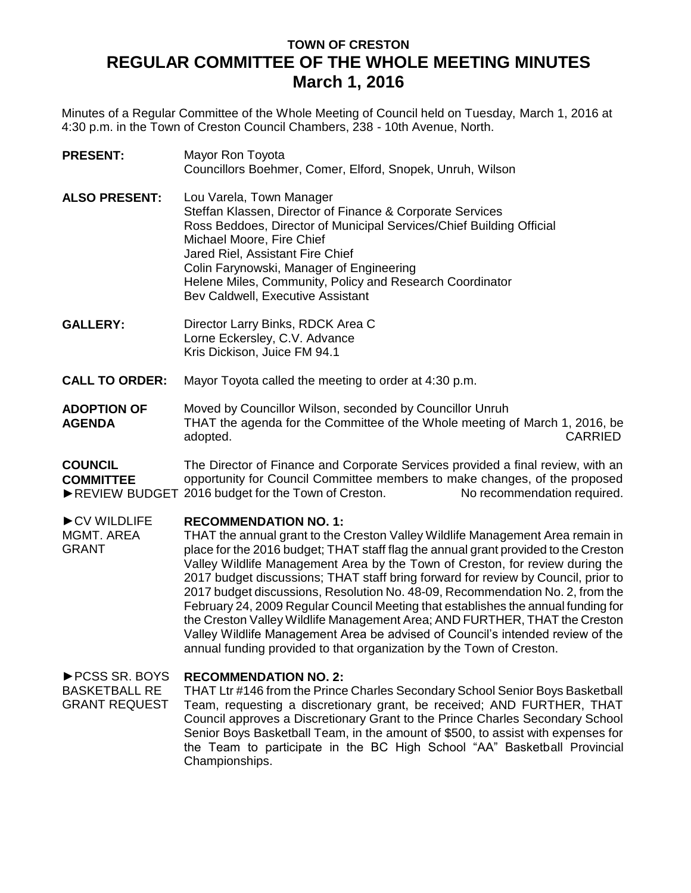## **TOWN OF CRESTON REGULAR COMMITTEE OF THE WHOLE MEETING MINUTES March 1, 2016**

Minutes of a Regular Committee of the Whole Meeting of Council held on Tuesday, March 1, 2016 at 4:30 p.m. in the Town of Creston Council Chambers, 238 - 10th Avenue, North.

- **PRESENT:** Mayor Ron Toyota Councillors Boehmer, Comer, Elford, Snopek, Unruh, Wilson
- **ALSO PRESENT:** Lou Varela, Town Manager Steffan Klassen, Director of Finance & Corporate Services Ross Beddoes, Director of Municipal Services/Chief Building Official Michael Moore, Fire Chief Jared Riel, Assistant Fire Chief Colin Farynowski, Manager of Engineering Helene Miles, Community, Policy and Research Coordinator Bev Caldwell, Executive Assistant
- **GALLERY:** Director Larry Binks, RDCK Area C Lorne Eckersley, C.V. Advance Kris Dickison, Juice FM 94.1
- **CALL TO ORDER:** Mayor Toyota called the meeting to order at 4:30 p.m.
- **ADOPTION OF AGENDA** Moved by Councillor Wilson, seconded by Councillor Unruh THAT the agenda for the Committee of the Whole meeting of March 1, 2016, be adopted. CARRIED

**COUNCIL COMMITTEE** ►REVIEW BUDGET 2016 budget for the Town of Creston. No recommendation required. The Director of Finance and Corporate Services provided a final review, with an opportunity for Council Committee members to make changes, of the proposed

## ►CV WILDLIFE **RECOMMENDATION NO. 1:**

MGMT. AREA GRANT THAT the annual grant to the Creston Valley Wildlife Management Area remain in place for the 2016 budget; THAT staff flag the annual grant provided to the Creston Valley Wildlife Management Area by the Town of Creston, for review during the 2017 budget discussions; THAT staff bring forward for review by Council, prior to 2017 budget discussions, Resolution No. 48-09, Recommendation No. 2, from the February 24, 2009 Regular Council Meeting that establishes the annual funding for the Creston Valley Wildlife Management Area; AND FURTHER, THAT the Creston Valley Wildlife Management Area be advised of Council's intended review of the annual funding provided to that organization by the Town of Creston.

## ►PCSS SR. BOYS **RECOMMENDATION NO. 2:**

BASKETBALL RE GRANT REQUEST THAT Ltr #146 from the Prince Charles Secondary School Senior Boys Basketball Team, requesting a discretionary grant, be received; AND FURTHER, THAT Council approves a Discretionary Grant to the Prince Charles Secondary School Senior Boys Basketball Team, in the amount of \$500, to assist with expenses for the Team to participate in the BC High School "AA" Basketball Provincial Championships.